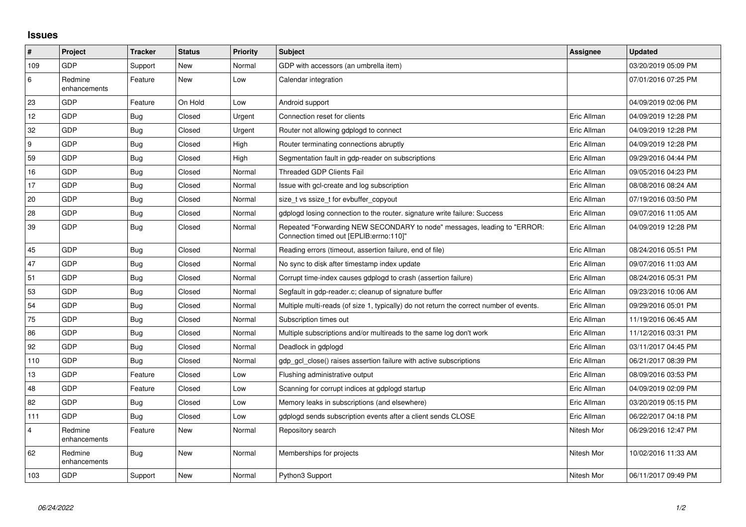## **Issues**

| $\vert$ #        | Project                 | <b>Tracker</b> | <b>Status</b> | <b>Priority</b> | <b>Subject</b>                                                                                                      | Assignee    | <b>Updated</b>      |
|------------------|-------------------------|----------------|---------------|-----------------|---------------------------------------------------------------------------------------------------------------------|-------------|---------------------|
| 109              | GDP                     | Support        | New           | Normal          | GDP with accessors (an umbrella item)                                                                               |             | 03/20/2019 05:09 PM |
| 6                | Redmine<br>enhancements | Feature        | New           | Low             | Calendar integration                                                                                                |             | 07/01/2016 07:25 PM |
| 23               | GDP                     | Feature        | On Hold       | Low             | Android support                                                                                                     |             | 04/09/2019 02:06 PM |
| 12               | <b>GDP</b>              | Bug            | Closed        | Urgent          | Connection reset for clients                                                                                        | Eric Allman | 04/09/2019 12:28 PM |
| 32               | GDP                     | <b>Bug</b>     | Closed        | Urgent          | Router not allowing gdplogd to connect                                                                              | Eric Allman | 04/09/2019 12:28 PM |
| $\boldsymbol{9}$ | GDP                     | <b>Bug</b>     | Closed        | High            | Router terminating connections abruptly                                                                             | Eric Allman | 04/09/2019 12:28 PM |
| 59               | GDP                     | <b>Bug</b>     | Closed        | High            | Segmentation fault in gdp-reader on subscriptions                                                                   | Eric Allman | 09/29/2016 04:44 PM |
| 16               | <b>GDP</b>              | <b>Bug</b>     | Closed        | Normal          | <b>Threaded GDP Clients Fail</b>                                                                                    | Eric Allman | 09/05/2016 04:23 PM |
| 17               | GDP                     | Bug            | Closed        | Normal          | Issue with gcl-create and log subscription                                                                          | Eric Allman | 08/08/2016 08:24 AM |
| 20               | <b>GDP</b>              | <b>Bug</b>     | Closed        | Normal          | size t vs ssize t for evbuffer copyout                                                                              | Eric Allman | 07/19/2016 03:50 PM |
| 28               | <b>GDP</b>              | <b>Bug</b>     | Closed        | Normal          | gdplogd losing connection to the router, signature write failure: Success                                           | Eric Allman | 09/07/2016 11:05 AM |
| 39               | <b>GDP</b>              | <b>Bug</b>     | Closed        | Normal          | Repeated "Forwarding NEW SECONDARY to node" messages, leading to "ERROR:<br>Connection timed out [EPLIB:errno:110]" | Eric Allman | 04/09/2019 12:28 PM |
| 45               | GDP                     | <b>Bug</b>     | Closed        | Normal          | Reading errors (timeout, assertion failure, end of file)                                                            | Eric Allman | 08/24/2016 05:51 PM |
| 47               | GDP                     | <b>Bug</b>     | Closed        | Normal          | No sync to disk after timestamp index update                                                                        | Eric Allman | 09/07/2016 11:03 AM |
| 51               | GDP                     | <b>Bug</b>     | Closed        | Normal          | Corrupt time-index causes gdplogd to crash (assertion failure)                                                      | Eric Allman | 08/24/2016 05:31 PM |
| 53               | <b>GDP</b>              | <b>Bug</b>     | Closed        | Normal          | Segfault in gdp-reader.c; cleanup of signature buffer                                                               | Eric Allman | 09/23/2016 10:06 AM |
| 54               | GDP                     | <b>Bug</b>     | Closed        | Normal          | Multiple multi-reads (of size 1, typically) do not return the correct number of events.                             | Eric Allman | 09/29/2016 05:01 PM |
| 75               | GDP                     | <b>Bug</b>     | Closed        | Normal          | Subscription times out                                                                                              | Eric Allman | 11/19/2016 06:45 AM |
| 86               | GDP                     | <b>Bug</b>     | Closed        | Normal          | Multiple subscriptions and/or multireads to the same log don't work                                                 | Eric Allman | 11/12/2016 03:31 PM |
| 92               | <b>GDP</b>              | <b>Bug</b>     | Closed        | Normal          | Deadlock in gdplogd                                                                                                 | Eric Allman | 03/11/2017 04:45 PM |
| 110              | GDP                     | <b>Bug</b>     | Closed        | Normal          | gdp gcl close() raises assertion failure with active subscriptions                                                  | Eric Allman | 06/21/2017 08:39 PM |
| 13               | <b>GDP</b>              | Feature        | Closed        | Low             | Flushing administrative output                                                                                      | Eric Allman | 08/09/2016 03:53 PM |
| 48               | <b>GDP</b>              | Feature        | Closed        | Low             | Scanning for corrupt indices at gdplogd startup                                                                     | Eric Allman | 04/09/2019 02:09 PM |
| 82               | <b>GDP</b>              | Bug            | Closed        | Low             | Memory leaks in subscriptions (and elsewhere)                                                                       | Eric Allman | 03/20/2019 05:15 PM |
| 111              | GDP                     | <b>Bug</b>     | Closed        | Low             | gdplogd sends subscription events after a client sends CLOSE                                                        | Eric Allman | 06/22/2017 04:18 PM |
| $\overline{4}$   | Redmine<br>enhancements | Feature        | New           | Normal          | Repository search                                                                                                   | Nitesh Mor  | 06/29/2016 12:47 PM |
| 62               | Redmine<br>enhancements | <b>Bug</b>     | <b>New</b>    | Normal          | Memberships for projects                                                                                            | Nitesh Mor  | 10/02/2016 11:33 AM |
| 103              | GDP                     | Support        | New           | Normal          | Python3 Support                                                                                                     | Nitesh Mor  | 06/11/2017 09:49 PM |